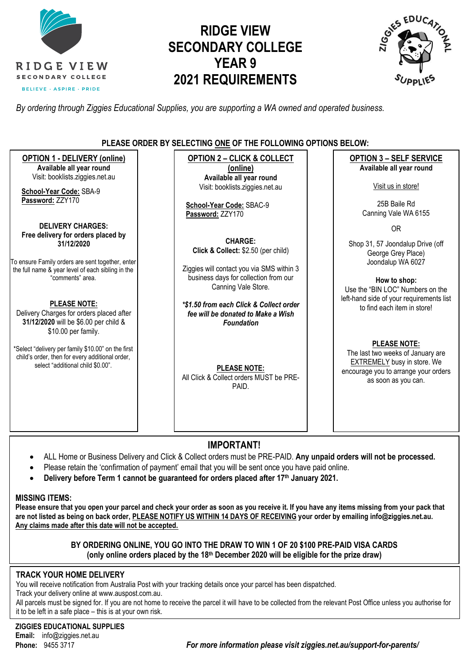

# **RIDGE VIEW SECONDARY COLLEGE YEAR 9 2021 REQUIREMENTS**



*By ordering through Ziggies Educational Supplies, you are supporting a WA owned and operated business.*

#### **PLEASE ORDER BY SELECTING ONE OF THE FOLLOWING OPTIONS BELOW:**

**OPTION 1 - DELIVERY (online) Available all year round** Visit: [booklists.ziggies.net.au](http://www.booklists.ziggies.net.au/) **School-Year Code:** SBA-9 **Password:** ZZY170 **DELIVERY CHARGES: Free delivery for orders placed by 31/12/2020** To ensure Family orders are sent together, enter the full name & year level of each sibling in the "comments" area. **PLEASE NOTE:** Delivery Charges for orders placed after **31/12/2020** will be \$6.00 per child & \$10.00 per family. \*Select "delivery per family \$10.00" on the first child's order, then for every additional order, select "additional child \$0.00". **OPTION 2 – CLICK & COLLECT (online) Available all year round** Visit: [booklists.ziggies.net.au](http://www.booklists.ziggies.net.au/) **School-Year Code:** SBAC-9 **Password:** ZZY170 **CHARGE: Click & Collect:** \$2.50 (per child) Ziggies will contact you via SMS within 3 business days for collection from our Canning Vale Store. *\*\$1.50 from each Click & Collect order fee will be donated to Make a Wish Foundation* **PLEASE NOTE:** All Click & Collect orders MUST be PRE-PAID. **OPTION 3 – SELF SERVICE Available all year round** Visit us in store! 25B Baile Rd Canning Vale WA 6155 OR Shop 31, 57 Joondalup Drive (off George Grey Place) Joondalup WA 6027 **How to shop:** Use the "BIN LOC" Numbers on the left-hand side of your requirements list to find each item in store! **PLEASE NOTE:**  The last two weeks of January are EXTREMELY busy in store. We encourage you to arrange your orders as soon as you can.

### **IMPORTANT!**

- ALL Home or Business Delivery and Click & Collect orders must be PRE-PAID. **Any unpaid orders will not be processed.**
- Please retain the 'confirmation of payment' email that you will be sent once you have paid online.
- **Delivery before Term 1 cannot be guaranteed for orders placed after 17th January 2021.**

#### **MISSING ITEMS:**

**Please ensure that you open your parcel and check your order as soon as you receive it. If you have any items missing from your pack that are not listed as being on back order, PLEASE NOTIFY US WITHIN 14 DAYS OF RECEIVING your order by emailing info@ziggies.net.au. Any claims made after this date will not be accepted.**

#### **BY ORDERING ONLINE, YOU GO INTO THE DRAW TO WIN 1 OF 20 \$100 PRE-PAID VISA CARDS (only online orders placed by the 18th December 2020 will be eligible for the prize draw)**

#### **TRACK YOUR HOME DELIVERY**

You will receive notification from Australia Post with your tracking details once your parcel has been dispatched.

Track your delivery online at [www.auspost.com.au.](http://www.auspost.com.au/)

All parcels must be signed for. If you are not home to receive the parcel it will have to be collected from the relevant Post Office unless you authorise for it to be left in a safe place – this is at your own risk.

**ZIGGIES EDUCATIONAL SUPPLIES Email:** info@ziggies.net.au

**Phone:** 9455 3717 *For more information please visit ziggies.net.au/support-for-parents/*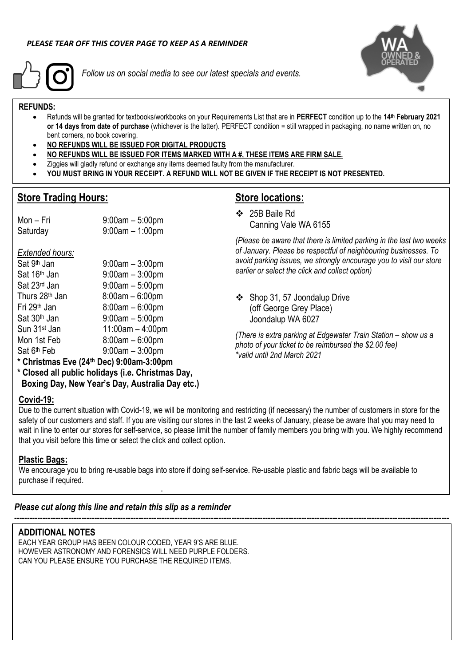

*Follow us on social media to see our latest specials and events.*



#### **REFUNDS:**

- Refunds will be granted for textbooks/workbooks on your Requirements List that are in **PERFECT** condition up to the **14 th February 2021 or 14 days from date of purchase** (whichever is the latter). PERFECT condition = still wrapped in packaging, no name written on, no bent corners, no book covering.
- **NO REFUNDS WILL BE ISSUED FOR DIGITAL PRODUCTS**

 $9:00$ am –  $3:00$ pm

 $9:00$ am – 5:00pm

 $9:00$ am – 3:00pm

- **NO REFUNDS WILL BE ISSUED FOR ITEMS MARKED WITH A #, THESE ITEMS ARE FIRM SALE.**
- Ziggies will gladly refund or exchange any items deemed faulty from the manufacturer.
- **YOU MUST BRING IN YOUR RECEIPT. A REFUND WILL NOT BE GIVEN IF THE RECEIPT IS NOT PRESENTED.**

#### **Store Trading Hours:**

*Extended hours:* Sat 9<sup>th</sup> Jan

### **Store locations:**

❖ 25B Baile Rd Canning Vale WA 6155

*(Please be aware that there is limited parking in the last two weeks of January. Please be respectful of neighbouring businesses. To avoid parking issues, we strongly encourage you to visit our store earlier or select the click and collect option)*

❖ Shop 31, 57 Joondalup Drive (off George Grey Place) Joondalup WA 6027

*(There is extra parking at Edgewater Train Station – show us a photo of your ticket to be reimbursed the \$2.00 fee) \*valid until 2nd March 2021*

**\* Christmas Eve (24th Dec) 9:00am-3:00pm**

Mon – Fri 9:00am – 5:00pm Saturday 9:00am – 1:00pm

 $\text{Sat } 16^{\text{th}}$  Jan  $\text{Sat } 23^{\text{rd}}$  Jan  $\text{Sat } 9:00 \text{am} - 5:00 \text{pm}$ 

Thurs  $28<sup>th</sup>$  Jan  $8:00$ am –  $6:00$ pm Fri 29th Jan 8:00am – 6:00pm  $Sat 30<sup>th</sup> Jan$  9:00am – 5:00pm Sun 31st Jan 11:00am – 4:00pm Mon 1st Feb 8:00am – 6:00pm

**\* Closed all public holidays (i.e. Christmas Day, Boxing Day, New Year's Day, Australia Day etc.)**

#### **Covid-19:**

Sat 6<sup>th</sup> Feb

Due to the current situation with Covid-19, we will be monitoring and restricting (if necessary) the number of customers in store for the safety of our customers and staff. If you are visiting our stores in the last 2 weeks of January, please be aware that you may need to wait in line to enter our stores for self-service, so please limit the number of family members you bring with you. We highly recommend that you visit before this time or select the click and collect option.

**------------------------------------------------------------------------------------------------------------------------------------------------------------------------**

#### **Plastic Bags:**

We encourage you to bring re-usable bags into store if doing self-service. Re-usable plastic and fabric bags will be available to purchase if required.

#### *Please cut along this line and retain this slip as a reminder*

#### **ADDITIONAL NOTES**

EACH YEAR GROUP HAS BEEN COLOUR CODED, YEAR 9'S ARE BLUE. HOWEVER ASTRONOMY AND FORENSICS WILL NEED PURPLE FOLDERS. CAN YOU PLEASE ENSURE YOU PURCHASE THE REQUIRED ITEMS.

**.**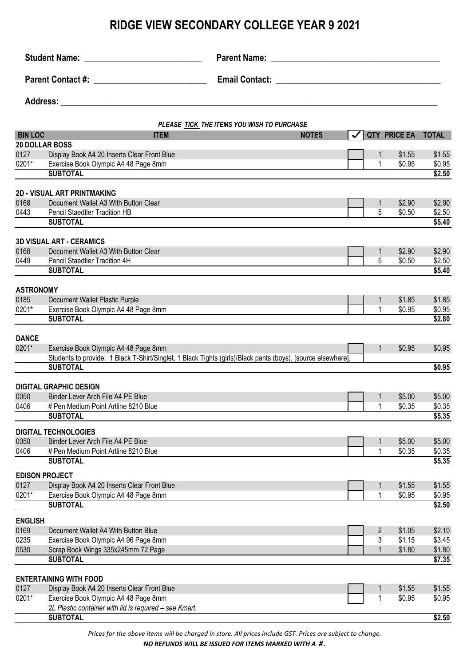| Parent Contact #: ____________________________ |                                                                              | Parent Name: Name: Name and Name and Name and Name and Name and Name and Name and Name and Name and Name and N |              |                   |                  |                  |
|------------------------------------------------|------------------------------------------------------------------------------|----------------------------------------------------------------------------------------------------------------|--------------|-------------------|------------------|------------------|
|                                                |                                                                              |                                                                                                                |              |                   |                  |                  |
|                                                |                                                                              |                                                                                                                |              |                   |                  |                  |
|                                                |                                                                              |                                                                                                                |              |                   |                  |                  |
| <b>BIN LOC</b>                                 | <b>ITEM</b>                                                                  | PLEASE TICK THE ITEMS YOU WISH TO PURCHASE<br><b>NOTES</b>                                                     | $\checkmark$ |                   | QTY PRICE EA     | <b>TOTAL</b>     |
|                                                | <b>20 DOLLAR BOSS</b>                                                        |                                                                                                                |              |                   |                  |                  |
| 0127                                           | Display Book A4 20 Inserts Clear Front Blue                                  |                                                                                                                |              | $\mathbf{1}$      | \$1.55           | \$1.55           |
| 0201*                                          | Exercise Book Olympic A4 48 Page 8mm                                         |                                                                                                                |              | 1                 | \$0.95           | \$0.95           |
|                                                | <b>SUBTOTAL</b>                                                              |                                                                                                                |              |                   |                  | \$2.50           |
|                                                | <b>2D - VISUAL ART PRINTMAKING</b>                                           |                                                                                                                |              |                   |                  |                  |
| 0168                                           | Document Wallet A3 With Button Clear                                         |                                                                                                                |              | $\mathbf{1}$      | \$2.90           | \$2.90           |
| 0443                                           | Pencil Staedtler Tradition HB                                                |                                                                                                                |              | 5                 | \$0.50           | \$2.50           |
|                                                | <b>SUBTOTAL</b>                                                              |                                                                                                                |              |                   |                  | \$5.40           |
|                                                |                                                                              |                                                                                                                |              |                   |                  |                  |
|                                                | <b>3D VISUAL ART - CERAMICS</b>                                              |                                                                                                                |              |                   |                  |                  |
| 0168<br>0449                                   | Document Wallet A3 With Button Clear<br>Pencil Staedtler Tradition 4H        |                                                                                                                |              | $\mathbf{1}$<br>5 | \$2.90<br>\$0.50 | \$2.90           |
|                                                | <b>SUBTOTAL</b>                                                              |                                                                                                                |              |                   |                  | \$2.50<br>\$5.40 |
|                                                |                                                                              |                                                                                                                |              |                   |                  |                  |
| <b>ASTRONOMY</b>                               |                                                                              |                                                                                                                |              |                   |                  |                  |
| 0185                                           | Document Wallet Plastic Purple                                               |                                                                                                                |              | $\mathbf{1}$      | \$1.85           | \$1.85           |
| 0201*                                          | Exercise Book Olympic A4 48 Page 8mm                                         |                                                                                                                |              | 1                 | \$0.95           | \$0.95           |
|                                                | <b>SUBTOTAL</b>                                                              |                                                                                                                |              |                   |                  | \$2.80           |
|                                                |                                                                              |                                                                                                                |              |                   |                  |                  |
| <b>DANCE</b><br>0201*                          | Exercise Book Olympic A4 48 Page 8mm                                         |                                                                                                                |              | $\mathbf{1}$      | \$0.95           | \$0.95           |
|                                                |                                                                              | Students to provide: 1 Black T-Shirt/Singlet, 1 Black Tights (girls)/Black pants (boys), [source elsewhere].   |              |                   |                  |                  |
|                                                | <b>SUBTOTAL</b>                                                              |                                                                                                                |              |                   |                  | \$0.95           |
|                                                |                                                                              |                                                                                                                |              |                   |                  |                  |
|                                                | <b>DIGITAL GRAPHIC DESIGN</b>                                                |                                                                                                                |              |                   |                  |                  |
| 0050                                           | Binder Lever Arch File A4 PE Blue                                            |                                                                                                                |              | $\mathbf{1}$      | \$5.00           | \$5.00           |
| 0406                                           | # Pen Medium Point Artline 8210 Blue                                         |                                                                                                                |              | 1                 | \$0.35           | \$0.35           |
|                                                | <b>SUBTOTAL</b>                                                              |                                                                                                                |              |                   |                  | \$5.35           |
|                                                | <b>DIGITAL TECHNOLOGIES</b>                                                  |                                                                                                                |              |                   |                  |                  |
| 0050                                           | Binder Lever Arch File A4 PE Blue                                            |                                                                                                                |              | $\mathbf{1}$      | \$5.00           | \$5.00           |
| 0406                                           | # Pen Medium Point Artline 8210 Blue                                         |                                                                                                                |              | 1                 | \$0.35           | \$0.35           |
|                                                | <b>SUBTOTAL</b>                                                              |                                                                                                                |              |                   |                  | \$5.35           |
|                                                | <b>EDISON PROJECT</b>                                                        |                                                                                                                |              |                   |                  |                  |
| 0127                                           | Display Book A4 20 Inserts Clear Front Blue                                  |                                                                                                                |              | 1                 | \$1.55           | \$1.55           |
| 0201*                                          | Exercise Book Olympic A4 48 Page 8mm                                         |                                                                                                                |              | 1                 | \$0.95           | \$0.95           |
|                                                | <b>SUBTOTAL</b>                                                              |                                                                                                                |              |                   |                  | \$2.50           |
| <b>ENGLISH</b>                                 |                                                                              |                                                                                                                |              |                   |                  |                  |
| 0169                                           | Document Wallet A4 With Button Blue                                          |                                                                                                                |              | $\overline{2}$    | \$1.05           | \$2.10           |
| 0235                                           | Exercise Book Olympic A4 96 Page 8mm                                         |                                                                                                                |              | 3                 | \$1.15           | \$3.45           |
| 0530                                           | Scrap Book Wings 335x245mm 72 Page                                           |                                                                                                                |              | 1                 | \$1.80           | \$1.80           |
|                                                | <b>SUBTOTAL</b>                                                              |                                                                                                                |              |                   |                  | \$7.35           |
|                                                |                                                                              |                                                                                                                |              |                   |                  |                  |
| 0127                                           | <b>ENTERTAINING WITH FOOD</b><br>Display Book A4 20 Inserts Clear Front Blue |                                                                                                                |              |                   | \$1.55           | \$1.55           |
| 0201*                                          | Exercise Book Olympic A4 48 Page 8mm                                         |                                                                                                                |              | $\mathbf{1}$<br>1 | \$0.95           | \$0.95           |
|                                                | 2L Plastic container with lid is required - see Kmart.                       |                                                                                                                |              |                   |                  |                  |
|                                                | <b>SUBTOTAL</b>                                                              |                                                                                                                |              |                   |                  | $\sqrt{2.50}$    |

*Prices for the above items will be charged in store. All prices include GST. Prices are subject to change.* 

*NO REFUNDS WILL BE ISSUED FOR ITEMS MARKED WITH A # .*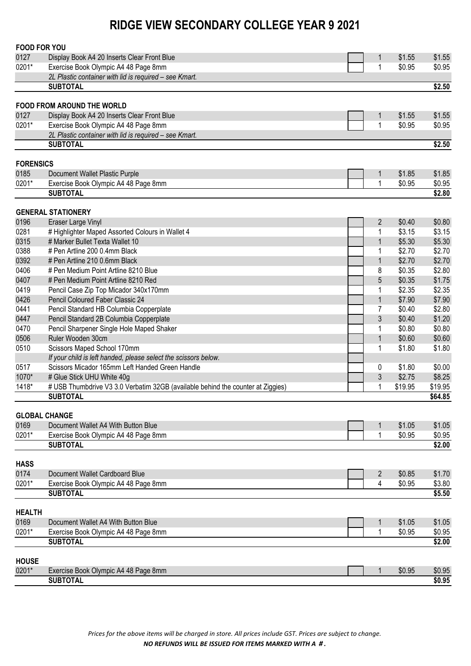| <b>FOOD FOR YOU</b>          |                                                                                 |                |         |         |
|------------------------------|---------------------------------------------------------------------------------|----------------|---------|---------|
| 0127                         | Display Book A4 20 Inserts Clear Front Blue                                     | 1              | \$1.55  | \$1.55  |
| 0201*                        | Exercise Book Olympic A4 48 Page 8mm                                            | 1              | \$0.95  | \$0.95  |
|                              | 2L Plastic container with lid is required - see Kmart.                          |                |         |         |
|                              | <b>SUBTOTAL</b>                                                                 |                |         | \$2.50  |
|                              | <b>FOOD FROM AROUND THE WORLD</b>                                               |                |         |         |
| 0127                         | Display Book A4 20 Inserts Clear Front Blue                                     | $\mathbf{1}$   | \$1.55  | \$1.55  |
| 0201*                        | Exercise Book Olympic A4 48 Page 8mm                                            | 1              | \$0.95  | \$0.95  |
|                              | 2L Plastic container with lid is required - see Kmart.                          |                |         |         |
|                              | <b>SUBTOTAL</b>                                                                 |                |         | \$2.50  |
|                              |                                                                                 |                |         |         |
| <b>FORENSICS</b>             |                                                                                 |                |         |         |
| 0185                         | Document Wallet Plastic Purple                                                  | 1              | \$1.85  | \$1.85  |
| 0201*                        | Exercise Book Olympic A4 48 Page 8mm                                            | 1              | \$0.95  | \$0.95  |
|                              | <b>SUBTOTAL</b>                                                                 |                |         | \$2.80  |
|                              | <b>GENERAL STATIONERY</b>                                                       |                |         |         |
| 0196                         | Eraser Large Vinyl                                                              | $\overline{2}$ | \$0.40  | \$0.80  |
| 0281                         | # Highlighter Maped Assorted Colours in Wallet 4                                | 1              | \$3.15  | \$3.15  |
| 0315                         | # Marker Bullet Texta Wallet 10                                                 | $\mathbf{1}$   | \$5.30  | \$5.30  |
| 0388                         | # Pen Artline 200 0.4mm Black                                                   | 1              | \$2.70  | \$2.70  |
| 0392                         | # Pen Artline 210 0.6mm Black                                                   | $\mathbf{1}$   | \$2.70  | \$2.70  |
| 0406                         | # Pen Medium Point Artline 8210 Blue                                            | 8              | \$0.35  | \$2.80  |
| 0407                         | # Pen Medium Point Artline 8210 Red                                             | 5              | \$0.35  | \$1.75  |
| 0419                         | Pencil Case Zip Top Micador 340x170mm                                           | 1              | \$2.35  | \$2.35  |
| 0426                         | Pencil Coloured Faber Classic 24                                                | $\mathbf{1}$   | \$7.90  | \$7.90  |
| 0441                         | Pencil Standard HB Columbia Copperplate                                         | 7              | \$0.40  | \$2.80  |
| 0447                         | Pencil Standard 2B Columbia Copperplate                                         | $\mathfrak{Z}$ | \$0.40  | \$1.20  |
| 0470                         | Pencil Sharpener Single Hole Maped Shaker                                       | 1              | \$0.80  | \$0.80  |
| 0506                         | Ruler Wooden 30cm                                                               | $\mathbf{1}$   | \$0.60  | \$0.60  |
| 0510                         | Scissors Maped School 170mm                                                     | 1              | \$1.80  | \$1.80  |
|                              | If your child is left handed, please select the scissors below.                 |                |         |         |
| 0517                         | Scissors Micador 165mm Left Handed Green Handle                                 | 0              | \$1.80  | \$0.00  |
| 1070*                        | # Glue Stick UHU White 40g                                                      | $\sqrt{3}$     | \$2.75  | \$8.25  |
| 1418*                        | # USB Thumbdrive V3 3.0 Verbatim 32GB (available behind the counter at Ziggies) | 1              | \$19.95 | \$19.95 |
|                              | <b>SUBTOTAL</b>                                                                 |                |         | \$64.85 |
|                              |                                                                                 |                |         |         |
| <b>GLOBAL CHANGE</b><br>0169 | Document Wallet A4 With Button Blue                                             | 1              | \$1.05  | \$1.05  |
| 0201*                        | Exercise Book Olympic A4 48 Page 8mm                                            | 1              | \$0.95  | \$0.95  |
|                              | <b>SUBTOTAL</b>                                                                 |                |         | \$2.00  |
|                              |                                                                                 |                |         |         |
| <b>HASS</b>                  |                                                                                 |                |         |         |
| 0174                         | Document Wallet Cardboard Blue                                                  | $\overline{2}$ | \$0.85  | \$1.70  |
| 0201*                        | Exercise Book Olympic A4 48 Page 8mm                                            | 4              | \$0.95  | \$3.80  |
|                              | <b>SUBTOTAL</b>                                                                 |                |         | \$5.50  |
| <b>HEALTH</b>                |                                                                                 |                |         |         |
| 0169                         | Document Wallet A4 With Button Blue                                             | 1              | \$1.05  | \$1.05  |
| 0201*                        | Exercise Book Olympic A4 48 Page 8mm                                            | 1              | \$0.95  | \$0.95  |
|                              | <b>SUBTOTAL</b>                                                                 |                |         | \$2.00  |
|                              |                                                                                 |                |         |         |
| <b>HOUSE</b>                 |                                                                                 |                |         |         |
| 0201*                        | Exercise Book Olympic A4 48 Page 8mm                                            | 1              | \$0.95  | \$0.95  |
|                              | <b>SUBTOTAL</b>                                                                 |                |         | \$0.95  |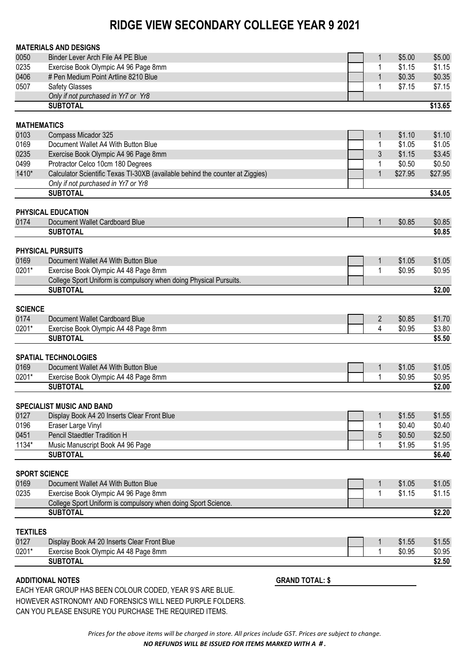|                 | <b>MATERIALS AND DESIGNS</b>                                                  |                |         |         |
|-----------------|-------------------------------------------------------------------------------|----------------|---------|---------|
| 0050            | Binder Lever Arch File A4 PE Blue                                             | 1              | \$5.00  | \$5.00  |
| 0235            | Exercise Book Olympic A4 96 Page 8mm                                          | 1              | \$1.15  | \$1.15  |
| 0406            | # Pen Medium Point Artline 8210 Blue                                          | $\mathbf{1}$   | \$0.35  | \$0.35  |
| 0507            | <b>Safety Glasses</b>                                                         | 1              | \$7.15  | \$7.15  |
|                 | Only if not purchased in Yr7 or Yr8                                           |                |         |         |
|                 | <b>SUBTOTAL</b>                                                               |                |         | \$13.65 |
|                 | <b>MATHEMATICS</b>                                                            |                |         |         |
| 0103            | Compass Micador 325                                                           | 1              | \$1.10  | \$1.10  |
| 0169            | Document Wallet A4 With Button Blue                                           | 1              | \$1.05  | \$1.05  |
| 0235            | Exercise Book Olympic A4 96 Page 8mm                                          | 3              | \$1.15  | \$3.45  |
| 0499            | Protractor Celco 10cm 180 Degrees                                             | 1              | \$0.50  | \$0.50  |
| 1410*           | Calculator Scientific Texas TI-30XB (available behind the counter at Ziggies) | $\mathbf{1}$   | \$27.95 | \$27.95 |
|                 | Only if not purchased in Yr7 or Yr8                                           |                |         |         |
|                 | <b>SUBTOTAL</b>                                                               |                |         | \$34.05 |
|                 | PHYSICAL EDUCATION                                                            |                |         |         |
| 0174            | Document Wallet Cardboard Blue                                                | 1              | \$0.85  | \$0.85  |
|                 | <b>SUBTOTAL</b>                                                               |                |         | \$0.85  |
|                 |                                                                               |                |         |         |
|                 | PHYSICAL PURSUITS                                                             |                |         |         |
| 0169            | Document Wallet A4 With Button Blue                                           | $\mathbf{1}$   | \$1.05  | \$1.05  |
| $0201*$         | Exercise Book Olympic A4 48 Page 8mm                                          | 1              | \$0.95  | \$0.95  |
|                 | College Sport Uniform is compulsory when doing Physical Pursuits.             |                |         |         |
|                 | <b>SUBTOTAL</b>                                                               |                |         | \$2.00  |
| <b>SCIENCE</b>  |                                                                               |                |         |         |
| 0174            | Document Wallet Cardboard Blue                                                | $\overline{2}$ | \$0.85  | \$1.70  |
| 0201*           | Exercise Book Olympic A4 48 Page 8mm                                          | 4              | \$0.95  | \$3.80  |
|                 | <b>SUBTOTAL</b>                                                               |                |         | \$5.50  |
|                 | <b>SPATIAL TECHNOLOGIES</b>                                                   |                |         |         |
| 0169            | Document Wallet A4 With Button Blue                                           | 1              | \$1.05  | \$1.05  |
| 0201*           | Exercise Book Olympic A4 48 Page 8mm                                          | 1              | \$0.95  | \$0.95  |
|                 | <b>SUBTOTAL</b>                                                               |                |         | \$2.00  |
|                 |                                                                               |                |         |         |
|                 | <b>SPECIALIST MUSIC AND BAND</b>                                              |                |         |         |
| 0127            | Display Book A4 20 Inserts Clear Front Blue                                   | 1              | \$1.55  | \$1.55  |
| 0196            | Eraser Large Vinyl                                                            | 1              | \$0.40  | \$0.40  |
| 0451            | Pencil Staedtler Tradition H                                                  | 5              | \$0.50  | \$2.50  |
| 1134*           | Music Manuscript Book A4 96 Page                                              | 1              | \$1.95  | \$1.95  |
|                 | <b>SUBTOTAL</b>                                                               |                |         | \$6.40  |
|                 | <b>SPORT SCIENCE</b>                                                          |                |         |         |
| 0169            | Document Wallet A4 With Button Blue                                           | $\mathbf{1}$   | \$1.05  | \$1.05  |
| 0235            | Exercise Book Olympic A4 96 Page 8mm                                          | 1              | \$1.15  | \$1.15  |
|                 | College Sport Uniform is compulsory when doing Sport Science.                 |                |         |         |
|                 | <b>SUBTOTAL</b>                                                               |                |         | \$2.20  |
| <b>TEXTILES</b> |                                                                               |                |         |         |
| 0127            | Display Book A4 20 Inserts Clear Front Blue                                   | $\mathbf{1}$   | \$1.55  | \$1.55  |
| 0201*           | Exercise Book Olympic A4 48 Page 8mm                                          | 1              | \$0.95  | \$0.95  |
|                 | <b>SUBTOTAL</b>                                                               |                |         | \$2.50  |
|                 |                                                                               |                |         |         |

#### **ADDITIONAL NOTES GRAND TOTAL: \$**

EACH YEAR GROUP HAS BEEN COLOUR CODED, YEAR 9'S ARE BLUE. HOWEVER ASTRONOMY AND FORENSICS WILL NEED PURPLE FOLDERS. CAN YOU PLEASE ENSURE YOU PURCHASE THE REQUIRED ITEMS.

> *Prices for the above items will be charged in store. All prices include GST. Prices are subject to change. NO REFUNDS WILL BE ISSUED FOR ITEMS MARKED WITH A # .*